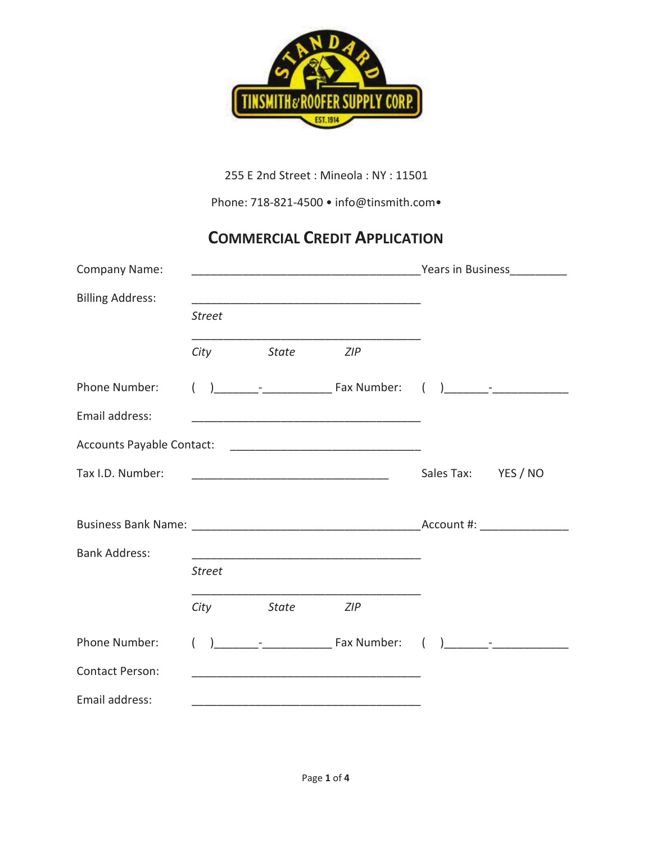

255 E 2nd Street: Mineola: NY: 11501

Phone: 718-821-4500 • info@tinsmith.com•

## **COMMERCIAL CREDIT APPLICATION**

| <b>Company Name:</b>    |               |                                                                   |                                                                                                                      | <u>Prears in Business Community of the Sears in Business</u> |                                       |  |
|-------------------------|---------------|-------------------------------------------------------------------|----------------------------------------------------------------------------------------------------------------------|--------------------------------------------------------------|---------------------------------------|--|
| <b>Billing Address:</b> | <b>Street</b> |                                                                   | <u> 1989 - Johann Stoff, Amerikaansk politiker (* 1958)</u>                                                          |                                                              |                                       |  |
|                         | City          | <b>State</b>                                                      | ZIP                                                                                                                  |                                                              |                                       |  |
| Phone Number:           |               |                                                                   |                                                                                                                      |                                                              |                                       |  |
| Email address:          |               |                                                                   | <u> 1989 - Johann Barbara, martxa alemaniar argumento de la contrada de la contrada de la contrada de la contrad</u> |                                                              |                                       |  |
|                         |               |                                                                   |                                                                                                                      |                                                              |                                       |  |
| Tax I.D. Number:        |               | <u> 2002 - Jan James James Barnett, amerikansk politik (d. 18</u> |                                                                                                                      | Sales Tax: YES / NO                                          |                                       |  |
|                         |               |                                                                   |                                                                                                                      |                                                              |                                       |  |
| <b>Bank Address:</b>    |               |                                                                   | <u> 1980 - Johann John Stone, mars eta bat eta bat eta bat eta bat ez arteko hamarkada eta bat ez arteko hamarka</u> |                                                              |                                       |  |
|                         | <b>Street</b> |                                                                   |                                                                                                                      |                                                              |                                       |  |
|                         | City          | <b>State</b>                                                      | <b>ZIP</b>                                                                                                           |                                                              |                                       |  |
| Phone Number:           |               |                                                                   |                                                                                                                      |                                                              | $\begin{pmatrix} 1 & 1 \end{pmatrix}$ |  |
| <b>Contact Person:</b>  |               |                                                                   |                                                                                                                      |                                                              |                                       |  |
| Email address:          |               |                                                                   |                                                                                                                      |                                                              |                                       |  |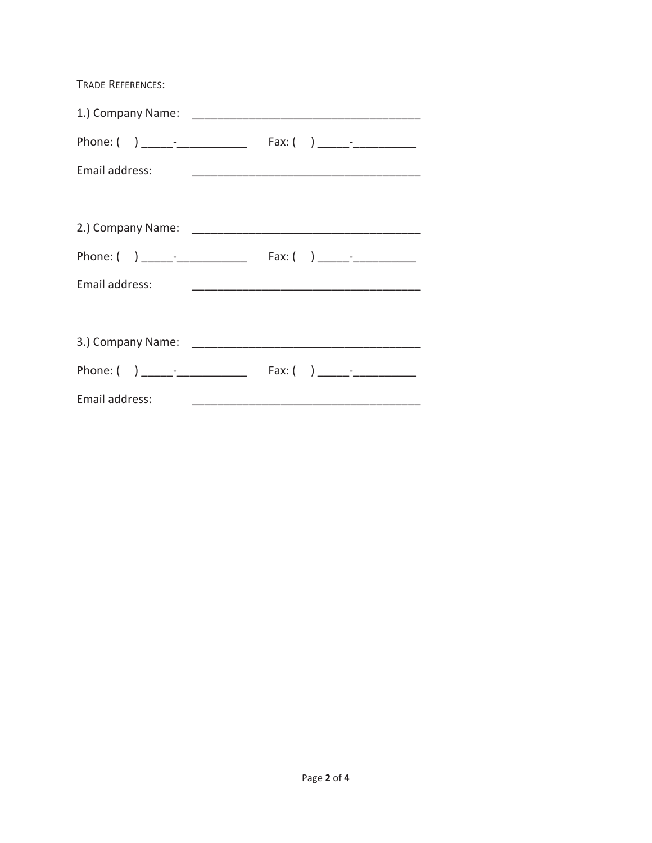| <b>TRADE REFERENCES:</b> |  |
|--------------------------|--|
|                          |  |
|                          |  |
| Email address:           |  |
|                          |  |
|                          |  |
|                          |  |
| Email address:           |  |
|                          |  |
|                          |  |
|                          |  |
| Email address:           |  |
|                          |  |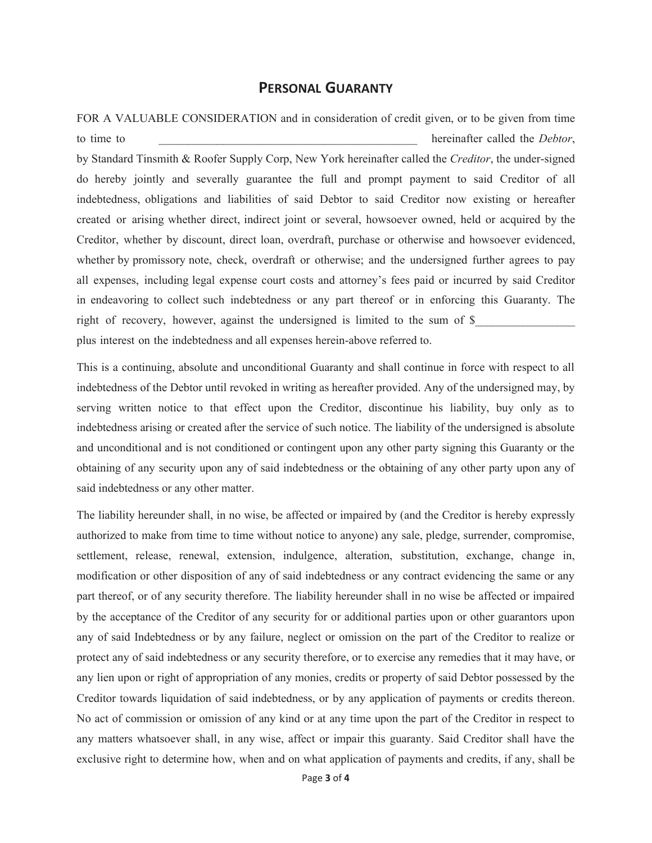## **PERSONAL GUARANTY**

FOR A VALUABLE CONSIDERATION and in consideration of credit given, or to be given from time to time to  $\Box$  to time to  $\Box$  hereinafter called the *Debtor*, by Standard Tinsmith & Roofer Supply Corp, New York hereinafter called the *Creditor*, the under-signed do hereby jointly and severally guarantee the full and prompt payment to said Creditor of all indebtedness, obligations and liabilities of said Debtor to said Creditor now existing or hereafter created or arising whether direct, indirect joint or several, howsoever owned, held or acquired by the Creditor, whether by discount, direct loan, overdraft, purchase or otherwise and howsoever evidenced, whether by promissory note, check, overdraft or otherwise; and the undersigned further agrees to pay all expenses, including legal expense court costs and attorney's fees paid or incurred by said Creditor in endeavoring to collect such indebtedness or any part thereof or in enforcing this Guaranty. The right of recovery, however, against the undersigned is limited to the sum of \$ plus interest on the indebtedness and all expenses herein-above referred to.

This is a continuing, absolute and unconditional Guaranty and shall continue in force with respect to all indebtedness of the Debtor until revoked in writing as hereafter provided. Any of the undersigned may, by serving written notice to that effect upon the Creditor, discontinue his liability, buy only as to indebtedness arising or created after the service of such notice. The liability of the undersigned is absolute and unconditional and is not conditioned or contingent upon any other party signing this Guaranty or the obtaining of any security upon any of said indebtedness or the obtaining of any other party upon any of said indebtedness or any other matter.

The liability hereunder shall, in no wise, be affected or impaired by (and the Creditor is hereby expressly authorized to make from time to time without notice to anyone) any sale, pledge, surrender, compromise, settlement, release, renewal, extension, indulgence, alteration, substitution, exchange, change in, modification or other disposition of any of said indebtedness or any contract evidencing the same or any part thereof, or of any security therefore. The liability hereunder shall in no wise be affected or impaired by the acceptance of the Creditor of any security for or additional parties upon or other guarantors upon any of said Indebtedness or by any failure, neglect or omission on the part of the Creditor to realize or protect any of said indebtedness or any security therefore, or to exercise any remedies that it may have, or any lien upon or right of appropriation of any monies, credits or property of said Debtor possessed by the Creditor towards liquidation of said indebtedness, or by any application of payments or credits thereon. No act of commission or omission of any kind or at any time upon the part of the Creditor in respect to any matters whatsoever shall, in any wise, affect or impair this guaranty. Said Creditor shall have the exclusive right to determine how, when and on what application of payments and credits, if any, shall be